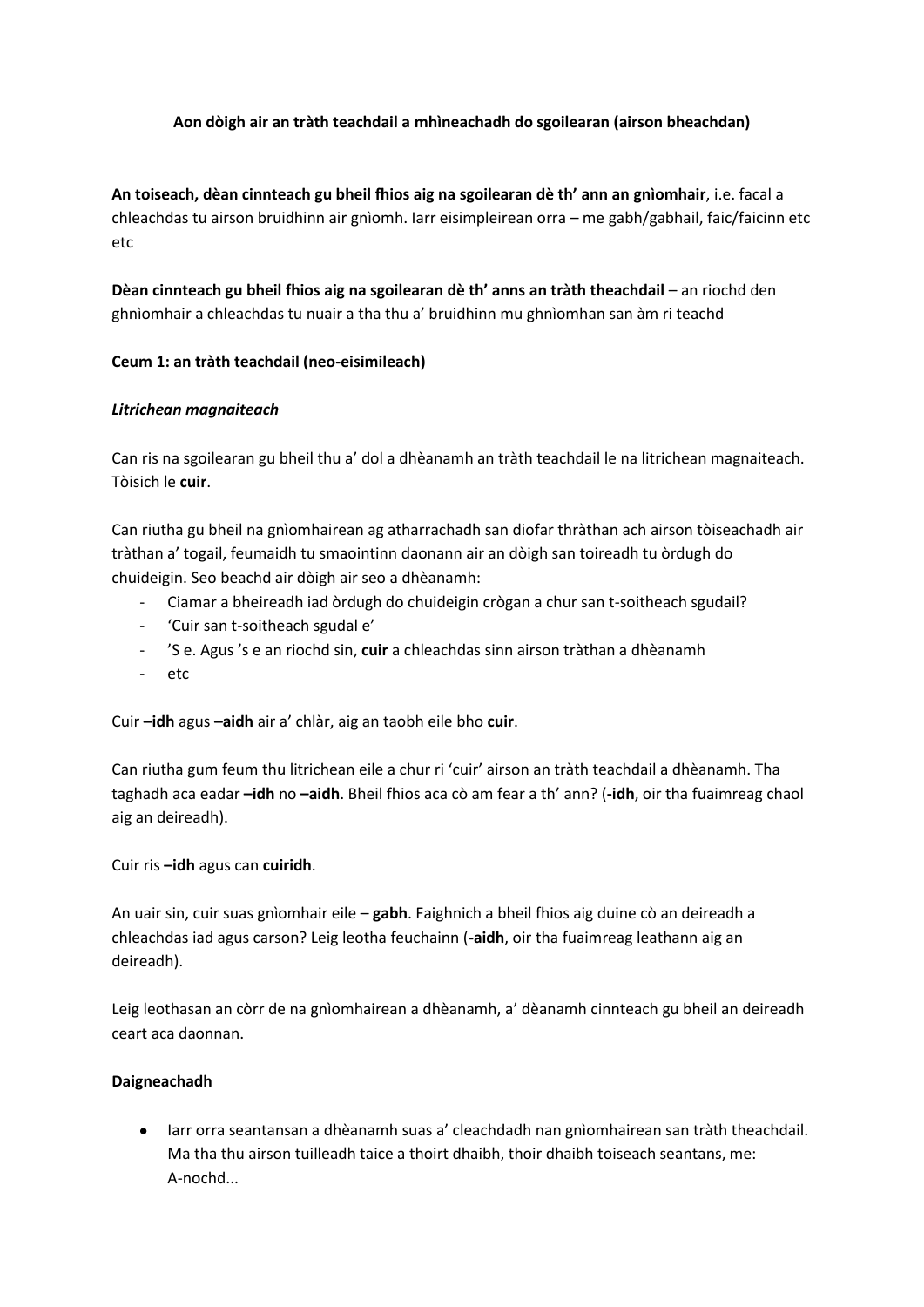### **Aon dòigh air an tràth teachdail a mhìneachadh do sgoilearan (airson bheachdan)**

**An toiseach, dèan cinnteach gu bheil fhios aig na sgoilearan dè th' ann an gnìomhair**, i.e. facal a chleachdas tu airson bruidhinn air gnìomh. Iarr eisimpleirean orra – me gabh/gabhail, faic/faicinn etc etc

**Dèan cinnteach gu bheil fhios aig na sgoilearan dè th' anns an tràth theachdail** – an riochd den ghnìomhair a chleachdas tu nuair a tha thu a' bruidhinn mu ghnìomhan san àm ri teachd

### **Ceum 1: an tràth teachdail (neo-eisimileach)**

#### *Litrichean magnaiteach*

Can ris na sgoilearan gu bheil thu a' dol a dhèanamh an tràth teachdail le na litrichean magnaiteach. Tòisich le **cuir**.

Can riutha gu bheil na gnìomhairean ag atharrachadh san diofar thràthan ach airson tòiseachadh air tràthan a' togail, feumaidh tu smaointinn daonann air an dòigh san toireadh tu òrdugh do chuideigin. Seo beachd air dòigh air seo a dhèanamh:

- Ciamar a bheireadh iad òrdugh do chuideigin crògan a chur san t-soitheach sgudail?
- 'Cuir san t-soitheach sgudal e'
- 'S e. Agus 's e an riochd sin, **cuir** a chleachdas sinn airson tràthan a dhèanamh
- etc

Cuir **–idh** agus **–aidh** air a' chlàr, aig an taobh eile bho **cuir**.

Can riutha gum feum thu litrichean eile a chur ri 'cuir' airson an tràth teachdail a dhèanamh. Tha taghadh aca eadar **–idh** no **–aidh**. Bheil fhios aca cò am fear a th' ann? (**-idh**, oir tha fuaimreag chaol aig an deireadh).

Cuir ris **–idh** agus can **cuiridh**.

An uair sin, cuir suas gnìomhair eile – **gabh**. Faighnich a bheil fhios aig duine cò an deireadh a chleachdas iad agus carson? Leig leotha feuchainn (**-aidh**, oir tha fuaimreag leathann aig an deireadh).

Leig leothasan an còrr de na gnìomhairean a dhèanamh, a' dèanamh cinnteach gu bheil an deireadh ceart aca daonnan.

## **Daigneachadh**

Iarr orra seantansan a dhèanamh suas a' cleachdadh nan gnìomhairean san tràth theachdail. Ma tha thu airson tuilleadh taice a thoirt dhaibh, thoir dhaibh toiseach seantans, me: A-nochd...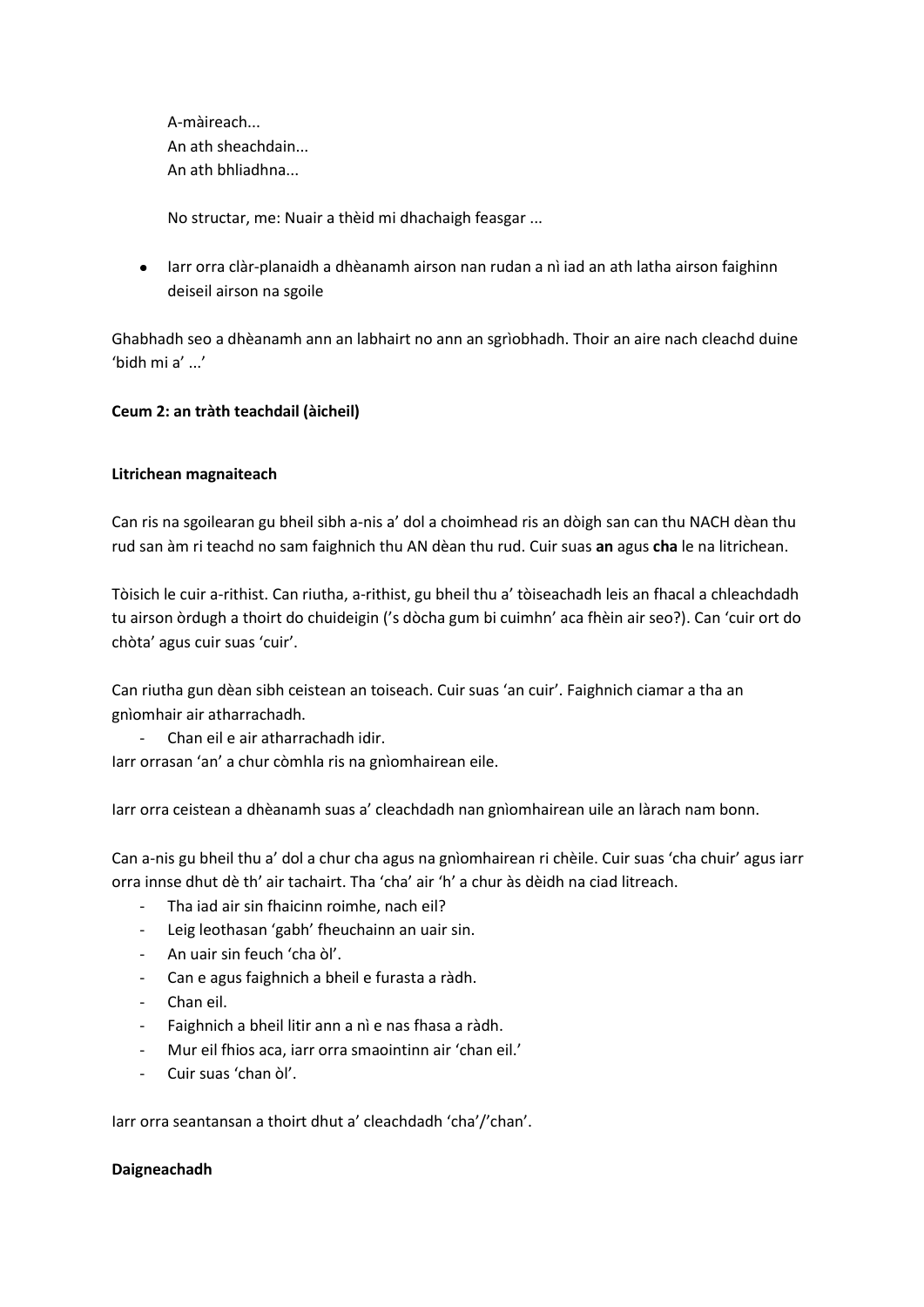A-màireach... An ath sheachdain... An ath bhliadhna...

No structar, me: Nuair a thèid mi dhachaigh feasgar ...

Iarr orra clàr-planaidh a dhèanamh airson nan rudan a nì iad an ath latha airson faighinn deiseil airson na sgoile

Ghabhadh seo a dhèanamh ann an labhairt no ann an sgrìobhadh. Thoir an aire nach cleachd duine 'bidh mi a' ...'

# **Ceum 2: an tràth teachdail (àicheil)**

## **Litrichean magnaiteach**

Can ris na sgoilearan gu bheil sibh a-nis a' dol a choimhead ris an dòigh san can thu NACH dèan thu rud san àm ri teachd no sam faighnich thu AN dèan thu rud. Cuir suas **an** agus **cha** le na litrichean.

Tòisich le cuir a-rithist. Can riutha, a-rithist, gu bheil thu a' tòiseachadh leis an fhacal a chleachdadh tu airson òrdugh a thoirt do chuideigin ('s dòcha gum bi cuimhn' aca fhèin air seo?). Can 'cuir ort do chòta' agus cuir suas 'cuir'.

Can riutha gun dèan sibh ceistean an toiseach. Cuir suas 'an cuir'. Faighnich ciamar a tha an gnìomhair air atharrachadh.

- Chan eil e air atharrachadh idir.

Iarr orrasan 'an' a chur còmhla ris na gnìomhairean eile.

Iarr orra ceistean a dhèanamh suas a' cleachdadh nan gnìomhairean uile an làrach nam bonn.

Can a-nis gu bheil thu a' dol a chur cha agus na gnìomhairean ri chèile. Cuir suas 'cha chuir' agus iarr orra innse dhut dè th' air tachairt. Tha 'cha' air 'h' a chur às dèidh na ciad litreach.

- Tha iad air sin fhaicinn roimhe, nach eil?
- Leig leothasan 'gabh' fheuchainn an uair sin.
- An uair sin feuch 'cha òl'.
- Can e agus faighnich a bheil e furasta a ràdh.
- Chan eil.
- Faighnich a bheil litir ann a nì e nas fhasa a ràdh.
- Mur eil fhios aca, iarr orra smaointinn air 'chan eil.'
- Cuir suas 'chan òl'.

Iarr orra seantansan a thoirt dhut a' cleachdadh 'cha'/'chan'.

#### **Daigneachadh**